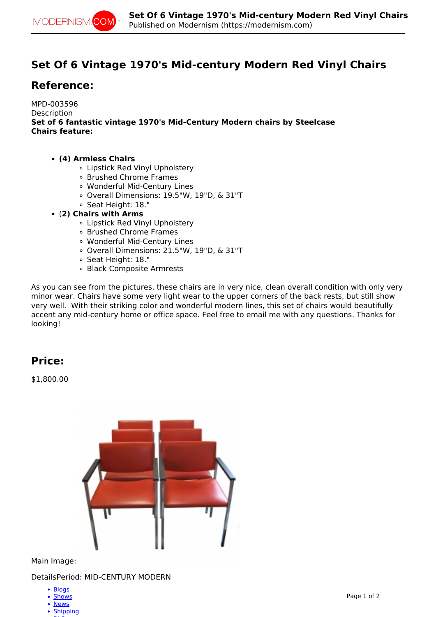

# **Set Of 6 Vintage 1970's Mid-century Modern Red Vinyl Chairs**

## **Reference:**

MPD-003596 Description **Set of 6 fantastic vintage 1970's Mid-Century Modern chairs by Steelcase Chairs feature:**

- **(4) Armless Chairs**
	- Lipstick Red Vinyl Upholstery
	- Brushed Chrome Frames
	- Wonderful Mid-Century Lines
	- Overall Dimensions: 19.5"W, 19"D, & 31"T
	- Seat Height: 18."
- (**2) Chairs with Arms**
	- Lipstick Red Vinyl Upholstery
	- Brushed Chrome Frames
	- Wonderful Mid-Century Lines
	- Overall Dimensions: 21.5"W, 19"D, & 31"T
	- Seat Height: 18."
	- Black Composite Armrests

As you can see from the pictures, these chairs are in very nice, clean overall condition with only very minor wear. Chairs have some very light wear to the upper corners of the back rests, but still show very well. With their striking color and wonderful modern lines, this set of chairs would beautifully accent any mid-century home or office space. Feel free to email me with any questions. Thanks for looking!

### **Price:**

\$1,800.00



Main Image:

DetailsPeriod: MID-CENTURY MODERN

- [Blogs](http://modernism.com/blog)
- [Shows](http://modernism.com/show)
- [News](http://modernism.com/articles)
- [Shipping](https://modernism.com/modernism/how-ship-your-items)  $-$